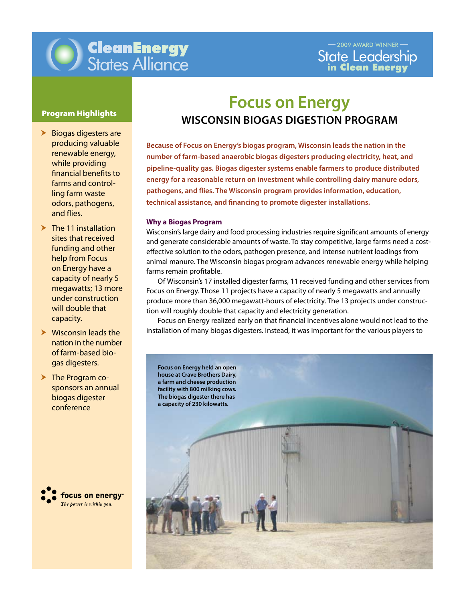

# **CleanEnergy**<br>States Alliance

- $\blacktriangleright$  Biogas digesters are producing valuable renewable energy, while providing financial benefits to farms and controlling farm waste odors, pathogens, and flies.
- $\blacktriangleright$  The 11 installation sites that received funding and other help from Focus on Energy have a capacity of nearly 5 megawatts; 13 more under construction will double that capacity.
- $\blacktriangleright$  Wisconsin leads the nation in the number of farm-based biogas digesters.
- $\triangleright$  The Program cosponsors an annual biogas digester conference



## **Focus on Energy Program Highlights MISCONSIN BIOGAS DIGESTION PROGRAM**

**Because of Focus on Energy's biogas program, Wisconsin leads the nation in the number of farm-based anaerobic biogas digesters producing electricity, heat, and pipeline-quality gas. Biogas digester systems enable farmers to produce distributed energy for a reasonable return on investment while controlling dairy manure odors, pathogens, and flies. The Wisconsin program provides information, education, technical assistance, and financing to promote digester installations.** 

#### **Why a Biogas Program**

effective solution to the odors, pathogen presence, and intense nutrient loadings from Wisconsin's large dairy and food processing industries require significant amounts of energy and generate considerable amounts of waste. To stay competitive, large farms need a costanimal manure. The Wisconsin biogas program advances renewable energy while helping farms remain profitable.

ianns remain prontable.<br>Of Wisconsin's 17 installed digester farms, 11 received funding and other services from Montpelier, VT 05602 Focus on Energy. Those 11 projects have a capacity of nearly 5 megawatts and annually produce more than 36,000 megawatt-hours of electricity. The 13 projects under construc-.<br>tion will roughly double that capacity and electricity generation.

Focus on Energy realized early on that financial incentives alone would not lead to the installation of many biogas digesters. Instead, it was important for the various players to